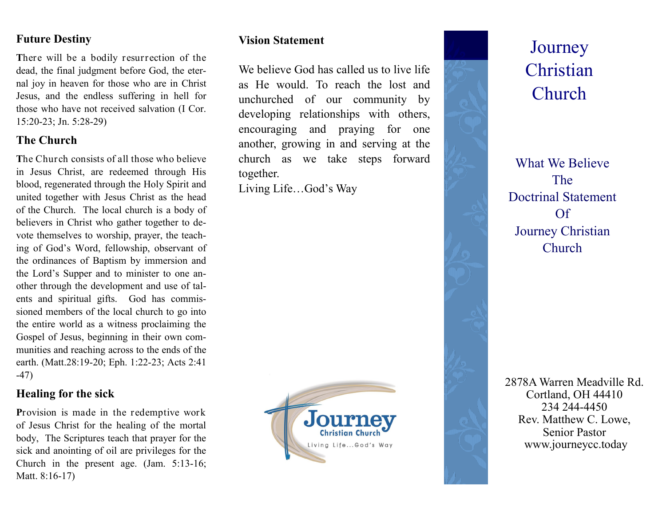### **Future Destiny**

**T**here will be a bodily resurrection of the dead, the final judgment before God, the eternal joy in heaven for those who are in Christ Jesus, and the endless suffering in hell for those who have not received salvation (I Cor. 15:20-23; Jn. 5:28-29)

### **The Church**

**T**he Church consists of all those who believe in Jesus Christ, are redeemed through His blood, regenerated through the Holy Spirit and united together with Jesus Christ as the head of the Church. The local church is a body of believers in Christ who gather together to devote themselves to worship, prayer, the teaching of God's Word, fellowship, observant of the ordinances of Baptism by immersion and the Lord's Supper and to minister to one another through the development and use of talents and spiritual gifts. God has commissioned members of the local church to go into the entire world as a witness proclaiming the Gospel of Jesus, beginning in their own communities and reaching across to the ends of the earth. (Matt.28:19-20; Eph. 1:22-23; Acts 2:41 -47)

# **Healing for the sick**

**P**rovision is made in the redemptive work of Jesus Christ for the healing of the mortal body, The Scriptures teach that prayer for the sick and anointing of oil are privileges for the Church in the present age. (Jam. 5:13-16; Matt. 8:16-17)

### **Vision Statement**

We believe God has called us to live life as He would. To reach the lost and unchurched of our community by developing relationships with others, encouraging and praying for one another, growing in and serving at the church as we take steps forward together.

Living Life…God's Way





**Journey** Christian Church

What We Believe The Doctrinal Statement Of Journey Christian **Church** 

2878A Warren Meadville Rd. Cortland, OH 44410 234 244-4450 Rev. Matthew C. Lowe, Senior Pastor www.journeycc.today